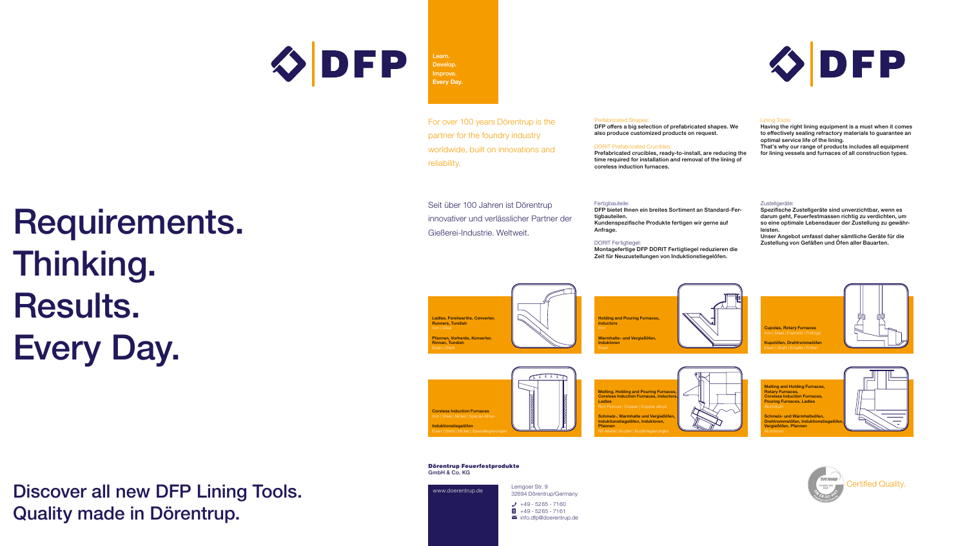

Develop. Improve. **Every Day.**

Learn.

For over 100 years Dörentrup is the partner for the foundry industry worldwide, built on innovations and reliability.

#### Prefabricated Shapes: DFP offers a big selection of prefabricated shapes. We also produce customized products on request.

DORIT Prefabricated Crucibles: Prefabricated crucibles, ready-to-install, are reducing the time required for installation and removal of the lining of coreless induction furnaces.

#### Lining Tools:

Having the right lining equipment is a must when it comes to effectively sealing refractory materials to guarantee an optimal service life of the lining. That's why our range of products includes all equipment for lining vessels and furnaces of all construction types.

DFP

Seit über 100 Jahren ist Dörentrup innovativer und verlässlicher Partner der Gießerei-Industrie. Weltweit.

#### Fertigbauteile: DFP bietet Ihnen ein breites Sortiment an Standard-Fertigbauteilen. Kundenspezifische Produkte fertigen wir gerne auf

Anfrage. DORIT Fertigtiegel:

Montagefertige DFP DORIT Fertigtiegel reduzieren die Zeit für Neuzustellungen von Induktionstiegelöfen.

#### Zustellgeräte:

Spezifische Zustellgeräte sind unverzichtbar, wenn es darum geht, Feuerfestmassen richtig zu verdichten, um so eine optimale Lebensdauer der Zustellung zu gewährleisten.

Unser Angebot umfasst daher sämtliche Geräte für die Zustellung von Gefäßen und Öfen aller Bauarten.

**Ladles, Forehearths, Converter** Runners, Tundish Pfannen, Vorherde, Konverter Rinnen, Tundish





Ladles

Pfannen











# Requirements. Thinking. Results. Every Day.

#### Dörentrup Feuerfestprodukte GmbH & Co. KG

www.doerentrup.de Lemgoer Str. 9 32694 Dörentrup/Germany  $+49 - 5265 - 7160$  $\blacksquare$  +49 - 5265 - 7161 ✉ info.dfp@doerentrup.de

Discover all new DFP Lining Tools. Quality made in Dörentrup.